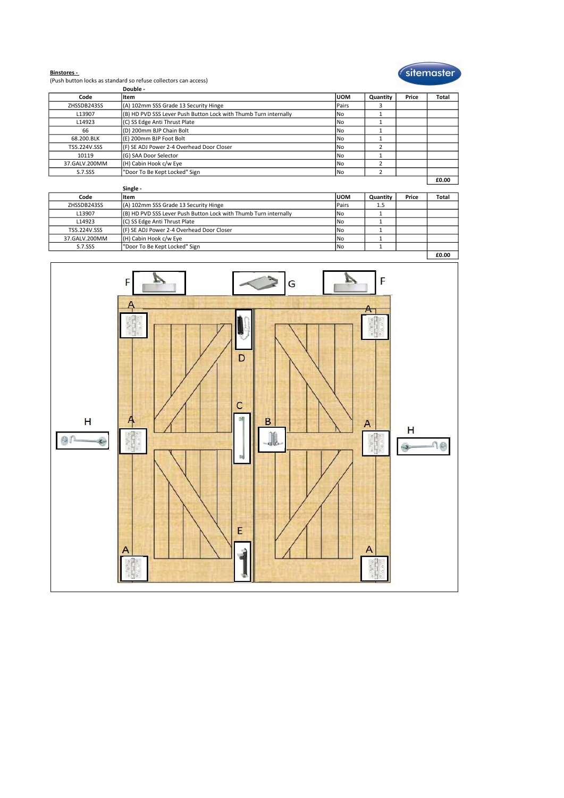

Binstores - (Push button locks as standard so refuse collectors can access)

|               | Double -                                                         |            |          |       |       |
|---------------|------------------------------------------------------------------|------------|----------|-------|-------|
| Code          | ltem                                                             | <b>UOM</b> | Quantity | Price | Total |
| ZHSSDB243SS   | (A) 102mm SSS Grade 13 Security Hinge                            | Pairs      |          |       |       |
| L13907        | (B) HD PVD SSS Lever Push Button Lock with Thumb Turn internally | l No       |          |       |       |
| L14923        | (C) SS Edge Anti Thrust Plate                                    | l No       |          |       |       |
| 66            | (D) 200mm BJP Chain Bolt                                         | l No       |          |       |       |
| 68.200.BLK    | (E) 200mm BJP Foot Bolt                                          | l No       |          |       |       |
| TS5.224V.SSS  | (F) SE ADJ Power 2-4 Overhead Door Closer                        | l No       |          |       |       |
| 10119         | (G) SAA Door Selector                                            | l No       |          |       |       |
| 37.GALV.200MM | (H) Cabin Hook c/w Eye                                           | l No       |          |       |       |
| S.7.SSS       | "Door To Be Kept Locked" Sign                                    | l No       |          |       |       |
|               |                                                                  |            |          |       | £0.00 |
|               | -- -                                                             |            |          |       |       |

|               |                                                                  |       |          |       | LU.UU |
|---------------|------------------------------------------------------------------|-------|----------|-------|-------|
|               | Single -                                                         |       |          |       |       |
| Code          | litem                                                            | IUOM  | Quantity | Price | Total |
| ZHSSDB243SS   | (A) 102mm SSS Grade 13 Security Hinge                            | Pairs | 1.5      |       |       |
| L13907        | (B) HD PVD SSS Lever Push Button Lock with Thumb Turn internally | l No  |          |       |       |
| L14923        | (C) SS Edge Anti Thrust Plate                                    | l No  |          |       |       |
| TS5.224V.SSS  | (F) SE ADJ Power 2-4 Overhead Door Closer                        | No    |          |       |       |
| 37.GALV.200MM | (H) Cabin Hook c/w Eye                                           | No    |          |       |       |
| S.7.SSS       | "Door To Be Kept Locked" Sign                                    | lNo   |          |       |       |
|               |                                                                  |       |          |       | fo oo |